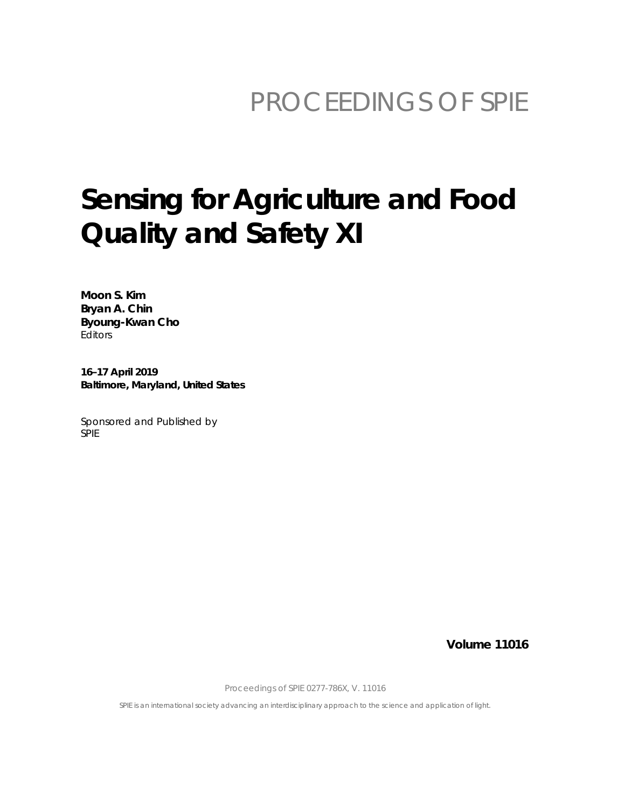## PROCEEDINGS OF SPIE

# Sensing for Agriculture and Food Quality and Safety XI

Moon S. Kim Bryan A. Chin Byoung-Kwan Cho Editors

16-17 April 2019 Baltimore, Maryland, United States

Sponsored and Published by **SPIE** 

**Volume 11016** 

Proceedings of SPIE 0277-786X, V. 11016

SPIE is an international society advancing an interdisciplinary approach to the science and application of light.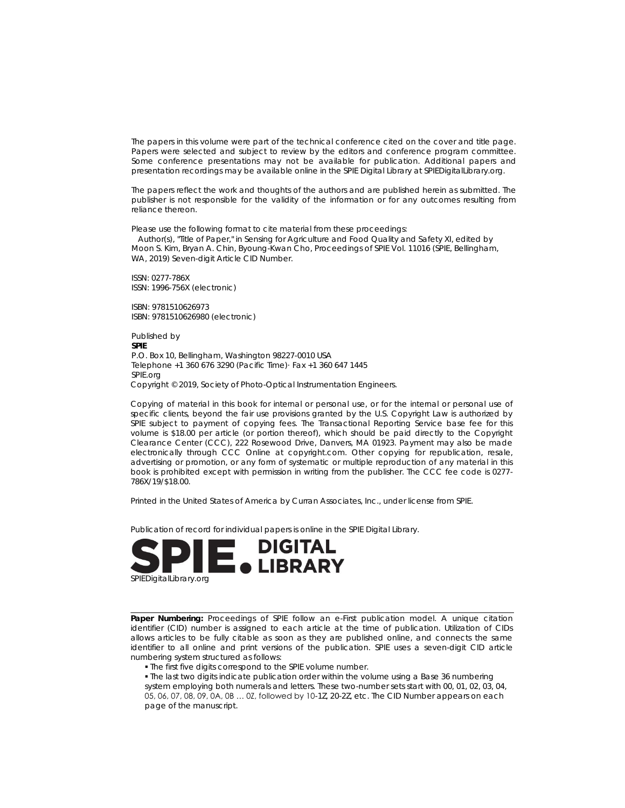The papers in this volume were part of the technical conference cited on the cover and title page. Papers were selected and subject to review by the editors and conference program committee. Some conference presentations may not be available for publication. Additional papers and presentation recordings may be available online in the SPIE Digital Library at SPIEDigitalLibrary.org.

The papers reflect the work and thoughts of the authors and are published herein as submitted. The publisher is not responsible for the validity of the information or for any outcomes resulting from reliance thereon.

Please use the following format to cite material from these proceedings:

Author(s), "Title of Paper," in Sensing for Agriculture and Food Quality and Safety XI, edited by Moon S. Kim, Bryan A. Chin, Byoung-Kwan Cho, Proceedings of SPIE Vol. 11016 (SPIE, Bellingham, WA, 2019) Seven-digit Article CID Number.

ISSN: 0277-786X ISSN: 1996-756X (electronic)

ISBN: 9781510626973 ISBN: 9781510626980 (electronic)

Published by **SPIF** P.O. Box 10, Bellingham, Washington 98227-0010 USA Telephone +1 360 676 3290 (Pacific Time) Fax +1 360 647 1445 SPIE.org Copyright © 2019, Society of Photo-Optical Instrumentation Engineers.

Copying of material in this book for internal or personal use, or for the internal or personal use of specific clients, beyond the fair use provisions granted by the U.S. Copyright Law is authorized by SPIE subject to payment of copying fees. The Transactional Reporting Service base fee for this volume is \$18.00 per article (or portion thereof), which should be paid directly to the Copyright Clearance Center (CCC), 222 Rosewood Drive, Danvers, MA 01923. Payment may also be made electronically through CCC Online at copyright.com. Other copying for republication, resale, advertising or promotion, or any form of systematic or multiple reproduction of any material in this book is prohibited except with permission in writing from the publisher. The CCC fee code is 0277-786X/19/\$18.00.

Printed in the United States of America by Curran Associates, Inc., under license from SPIE.

Publication of record for individual papers is online in the SPIE Digital Library.



Paper Numbering: Proceedings of SPIE follow an e-First publication model. A unique citation identifier (CID) number is assigned to each article at the time of publication. Utilization of CIDs allows articles to be fully citable as soon as they are published online, and connects the same identifier to all online and print versions of the publication. SPIE uses a seven-digit CID article numbering system structured as follows:

- . The first five digits correspond to the SPIE volume number.
- . The last two digits indicate publication order within the volume using a Base 36 numbering

system employing both numerals and letters. These two-number sets start with 00, 01, 02, 03, 04, 05, 06, 07, 08, 09, 0A, 0B ... 0Z, followed by 10-1Z, 20-2Z, etc. The CID Number appears on each page of the manuscript.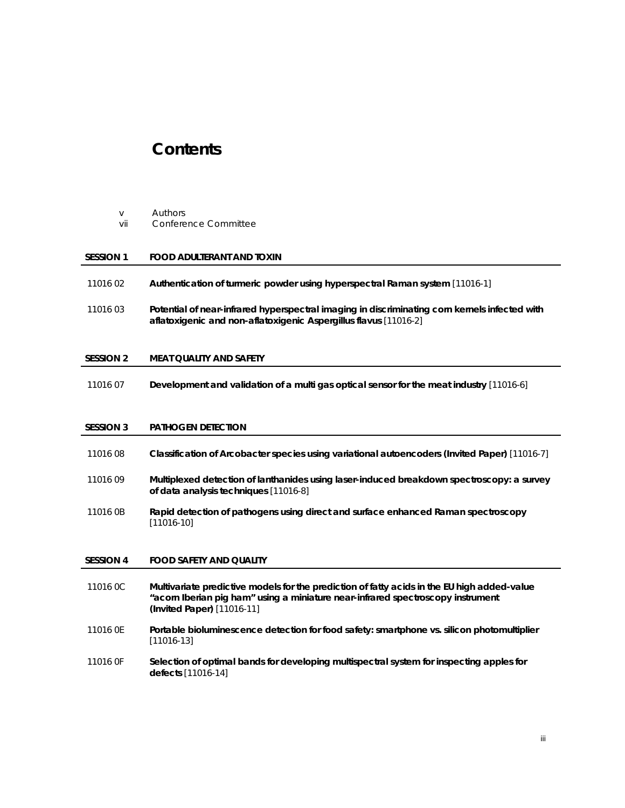### **Contents**

- v *Authors*
- vii *Conference Committee*

#### **SESSION 1 FOOD ADULTERANT AND TOXIN**

- 11016 02 **Authentication of turmeric powder using hyperspectral Raman system** [11016-1]
- 11016 03 **Potential of near-infrared hyperspectral imaging in discriminating corn kernels infected with aflatoxigenic and non-aflatoxigenic Aspergillus flavus** [11016-2]

#### **SESSION 2 MEAT QUALITY AND SAFETY**

11016 07 **Development and validation of a multi gas optical sensor for the meat industry** [11016-6]

#### **SESSION 3 PATHOGEN DETECTION**

| 11016 08         | Classification of Arcobacter species using variational autoencoders (Invited Paper) [11016-7]                                                                                                                |
|------------------|--------------------------------------------------------------------------------------------------------------------------------------------------------------------------------------------------------------|
| 11016 09         | Multiplexed detection of lanthanides using laser-induced breakdown spectroscopy: a survey<br>of data analysis techniques [11016-8]                                                                           |
| 11016 0B         | Rapid detection of pathogens using direct and surface enhanced Raman spectroscopy<br>$[11016-10]$                                                                                                            |
|                  |                                                                                                                                                                                                              |
| <b>SESSION 4</b> | <b>FOOD SAFETY AND QUALITY</b>                                                                                                                                                                               |
| 11016 OC         | Multivariate predictive models for the prediction of fatty acids in the EU high added-value<br>"acorn Iberian pig ham" using a miniature near-infrared spectroscopy instrument<br>(Invited Paper) [11016-11] |
| 11016 OE         | Portable bioluminescence detection for food safety: smartphone vs. silicon photomultiplier<br>$[11016-13]$                                                                                                   |
| 11016 OF         | Selection of optimal bands for developing multispectral system for inspecting apples for<br>defects [11016-14]                                                                                               |